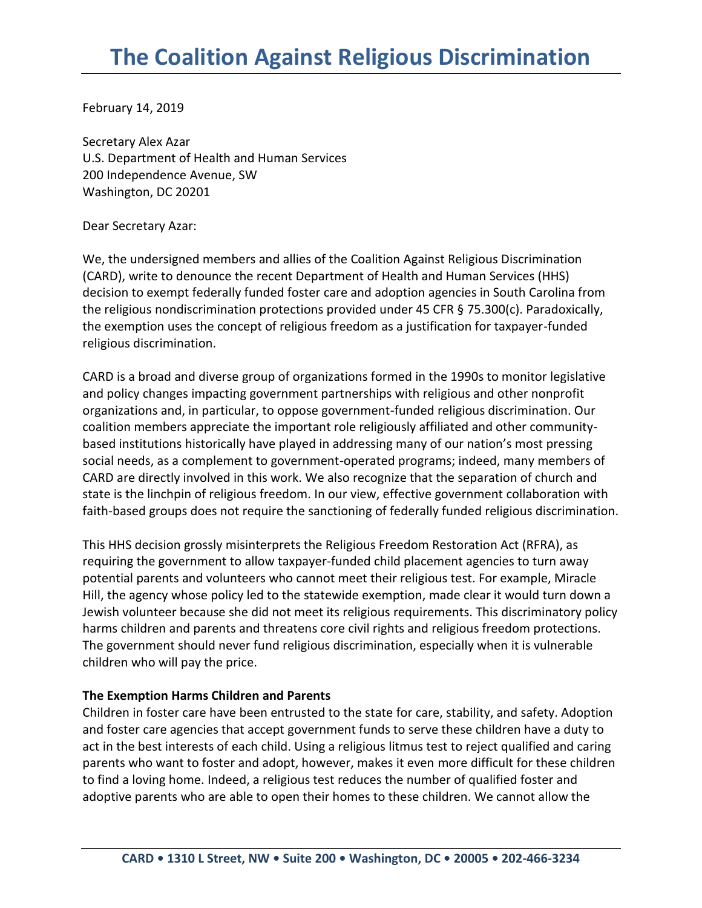February 14, 2019

Secretary Alex Azar U.S. Department of Health and Human Services 200 Independence Avenue, SW Washington, DC 20201

Dear Secretary Azar:

We, the undersigned members and allies of the Coalition Against Religious Discrimination (CARD), write to denounce the recent Department of Health and Human Services (HHS) decision to exempt federally funded foster care and adoption agencies in South Carolina from the religious nondiscrimination protections provided under 45 CFR § 75.300(c). Paradoxically, the exemption uses the concept of religious freedom as a justification for taxpayer-funded religious discrimination.

CARD is a broad and diverse group of organizations formed in the 1990s to monitor legislative and policy changes impacting government partnerships with religious and other nonprofit organizations and, in particular, to oppose government-funded religious discrimination. Our coalition members appreciate the important role religiously affiliated and other communitybased institutions historically have played in addressing many of our nation's most pressing social needs, as a complement to government-operated programs; indeed, many members of CARD are directly involved in this work. We also recognize that the separation of church and state is the linchpin of religious freedom. In our view, effective government collaboration with faith-based groups does not require the sanctioning of federally funded religious discrimination.

This HHS decision grossly misinterprets the Religious Freedom Restoration Act (RFRA), as requiring the government to allow taxpayer-funded child placement agencies to turn away potential parents and volunteers who cannot meet their religious test. For example, Miracle Hill, the agency whose policy led to the statewide exemption, made clear it would turn down a Jewish volunteer because she did not meet its religious requirements. This discriminatory policy harms children and parents and threatens core civil rights and religious freedom protections. The government should never fund religious discrimination, especially when it is vulnerable children who will pay the price.

## **The Exemption Harms Children and Parents**

Children in foster care have been entrusted to the state for care, stability, and safety. Adoption and foster care agencies that accept government funds to serve these children have a duty to act in the best interests of each child. Using a religious litmus test to reject qualified and caring parents who want to foster and adopt, however, makes it even more difficult for these children to find a loving home. Indeed, a religious test reduces the number of qualified foster and adoptive parents who are able to open their homes to these children. We cannot allow the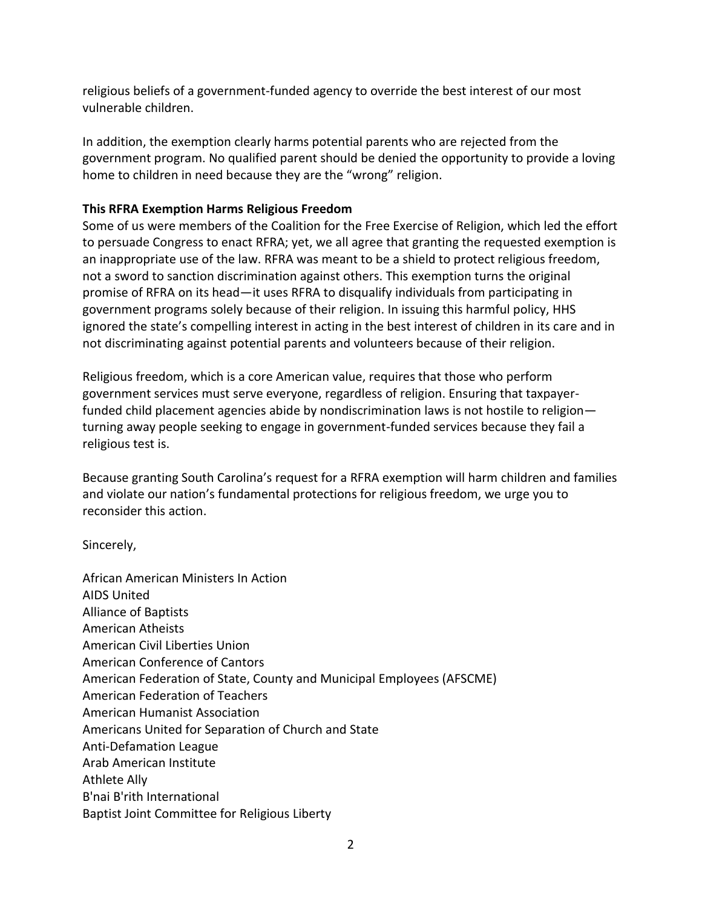religious beliefs of a government-funded agency to override the best interest of our most vulnerable children.

In addition, the exemption clearly harms potential parents who are rejected from the government program. No qualified parent should be denied the opportunity to provide a loving home to children in need because they are the "wrong" religion.

## **This RFRA Exemption Harms Religious Freedom**

Some of us were members of the Coalition for the Free Exercise of Religion, which led the effort to persuade Congress to enact RFRA; yet, we all agree that granting the requested exemption is an inappropriate use of the law. RFRA was meant to be a shield to protect religious freedom, not a sword to sanction discrimination against others. This exemption turns the original promise of RFRA on its head—it uses RFRA to disqualify individuals from participating in government programs solely because of their religion. In issuing this harmful policy, HHS ignored the state's compelling interest in acting in the best interest of children in its care and in not discriminating against potential parents and volunteers because of their religion.

Religious freedom, which is a core American value, requires that those who perform government services must serve everyone, regardless of religion. Ensuring that taxpayerfunded child placement agencies abide by nondiscrimination laws is not hostile to religion turning away people seeking to engage in government-funded services because they fail a religious test is.

Because granting South Carolina's request for a RFRA exemption will harm children and families and violate our nation's fundamental protections for religious freedom, we urge you to reconsider this action.

Sincerely,

African American Ministers In Action AIDS United Alliance of Baptists American Atheists American Civil Liberties Union American Conference of Cantors American Federation of State, County and Municipal Employees (AFSCME) American Federation of Teachers American Humanist Association Americans United for Separation of Church and State Anti-Defamation League Arab American Institute Athlete Ally B'nai B'rith International Baptist Joint Committee for Religious Liberty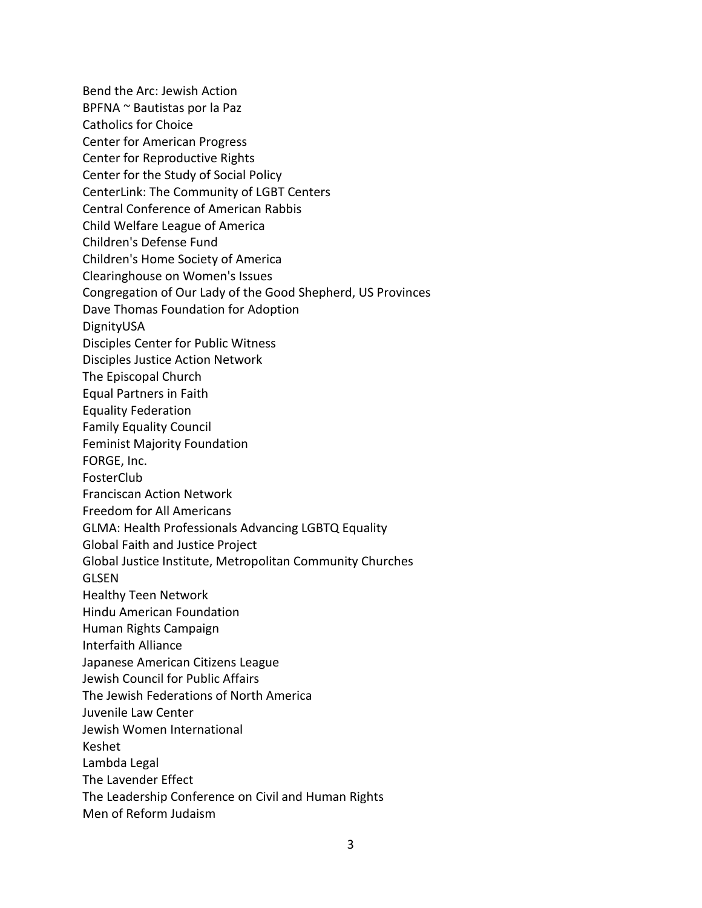Bend the Arc: Jewish Action BPFNA ~ Bautistas por la Paz Catholics for Choice Center for American Progress Center for Reproductive Rights Center for the Study of Social Policy CenterLink: The Community of LGBT Centers Central Conference of American Rabbis Child Welfare League of America Children's Defense Fund Children's Home Society of America Clearinghouse on Women's Issues Congregation of Our Lady of the Good Shepherd, US Provinces Dave Thomas Foundation for Adoption DignityUSA Disciples Center for Public Witness Disciples Justice Action Network The Episcopal Church Equal Partners in Faith Equality Federation Family Equality Council Feminist Majority Foundation FORGE, Inc. FosterClub Franciscan Action Network Freedom for All Americans GLMA: Health Professionals Advancing LGBTQ Equality Global Faith and Justice Project Global Justice Institute, Metropolitan Community Churches GLSEN Healthy Teen Network Hindu American Foundation Human Rights Campaign Interfaith Alliance Japanese American Citizens League Jewish Council for Public Affairs The Jewish Federations of North America Juvenile Law Center Jewish Women International Keshet Lambda Legal The Lavender Effect The Leadership Conference on Civil and Human Rights Men of Reform Judaism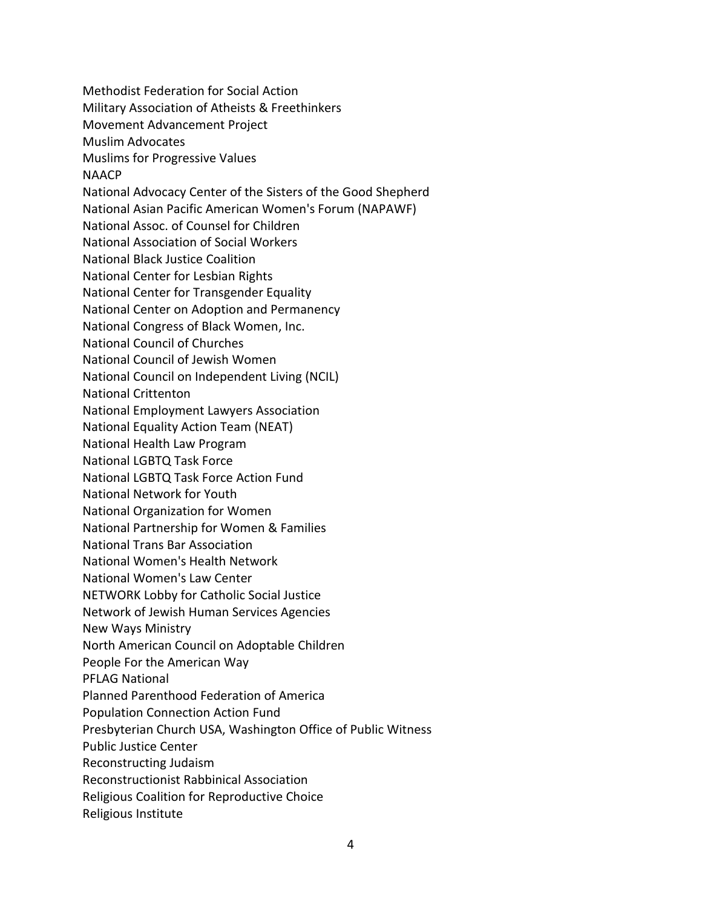Methodist Federation for Social Action Military Association of Atheists & Freethinkers Movement Advancement Project Muslim Advocates Muslims for Progressive Values NAACP National Advocacy Center of the Sisters of the Good Shepherd National Asian Pacific American Women's Forum (NAPAWF) National Assoc. of Counsel for Children National Association of Social Workers National Black Justice Coalition National Center for Lesbian Rights National Center for Transgender Equality National Center on Adoption and Permanency National Congress of Black Women, Inc. National Council of Churches National Council of Jewish Women National Council on Independent Living (NCIL) National Crittenton National Employment Lawyers Association National Equality Action Team (NEAT) National Health Law Program National LGBTQ Task Force National LGBTQ Task Force Action Fund National Network for Youth National Organization for Women National Partnership for Women & Families National Trans Bar Association National Women's Health Network National Women's Law Center NETWORK Lobby for Catholic Social Justice Network of Jewish Human Services Agencies New Ways Ministry North American Council on Adoptable Children People For the American Way PFLAG National Planned Parenthood Federation of America Population Connection Action Fund Presbyterian Church USA, Washington Office of Public Witness Public Justice Center Reconstructing Judaism Reconstructionist Rabbinical Association Religious Coalition for Reproductive Choice Religious Institute